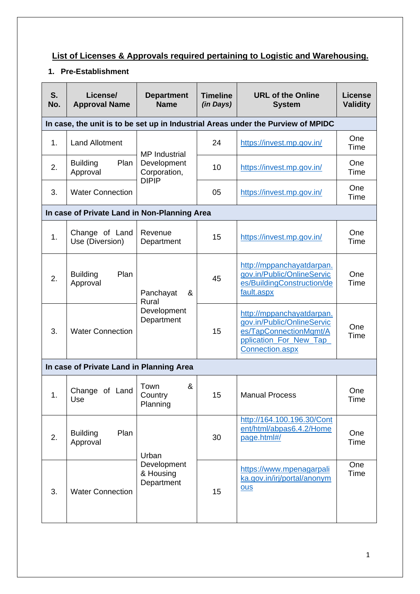## **List of Licenses & Approvals required pertaining to Logistic and Warehousing.**

## **1. Pre-Establishment**

| S.<br>No.                                | License/<br><b>Approval Name</b>             | <b>Department</b><br><b>Name</b>                                    | <b>Timeline</b><br>(in Days) | <b>URL of the Online</b><br><b>System</b>                                                                                      | <b>License</b><br><b>Validity</b> |  |
|------------------------------------------|----------------------------------------------|---------------------------------------------------------------------|------------------------------|--------------------------------------------------------------------------------------------------------------------------------|-----------------------------------|--|
|                                          |                                              |                                                                     |                              | In case, the unit is to be set up in Industrial Areas under the Purview of MPIDC                                               |                                   |  |
| 1.                                       | <b>Land Allotment</b>                        | <b>MP</b> Industrial<br>Development<br>Corporation,<br><b>DIPIP</b> | 24                           | https://invest.mp.gov.in/                                                                                                      | One<br>Time                       |  |
| 2.                                       | Plan<br><b>Building</b><br>Approval          |                                                                     | 10                           | https://invest.mp.gov.in/                                                                                                      | One<br>Time                       |  |
| 3.                                       | <b>Water Connection</b>                      |                                                                     | 05                           | https://invest.mp.gov.in/                                                                                                      | One<br>Time                       |  |
|                                          | In case of Private Land in Non-Planning Area |                                                                     |                              |                                                                                                                                |                                   |  |
| 1.                                       | Change of Land<br>Use (Diversion)            | Revenue<br>Department                                               | 15                           | https://invest.mp.gov.in/                                                                                                      | One<br>Time                       |  |
| 2.                                       | Plan<br><b>Building</b><br>Approval          | Panchayat<br>&<br>Rural<br>Development<br>Department                | 45                           | http://mppanchayatdarpan.<br>gov.in/Public/OnlineServic<br>es/BuildingConstruction/de<br>fault.aspx                            | One<br>Time                       |  |
| 3.                                       | <b>Water Connection</b>                      |                                                                     | 15                           | http://mppanchayatdarpan.<br>gov.in/Public/OnlineServic<br>es/TapConnectionMgmt/A<br>pplication For New Tap<br>Connection.aspx | One<br>Time                       |  |
| In case of Private Land in Planning Area |                                              |                                                                     |                              |                                                                                                                                |                                   |  |
| 1.                                       | Change of Land<br>Use                        | &<br>Town<br>Country<br>Planning                                    | 15                           | <b>Manual Process</b>                                                                                                          | One<br>Time                       |  |
| 2.                                       | Plan<br><b>Building</b><br>Approval          | Urban<br>Development<br>& Housing<br>Department                     | 30                           | http://164.100.196.30/Cont<br>ent/html/abpas6.4.2/Home<br>page.html#/                                                          | One<br>Time                       |  |
| 3.                                       | <b>Water Connection</b>                      |                                                                     | 15                           | https://www.mpenagarpali<br>ka.gov.in/irj/portal/anonym<br><b>OUS</b>                                                          | One<br>Time                       |  |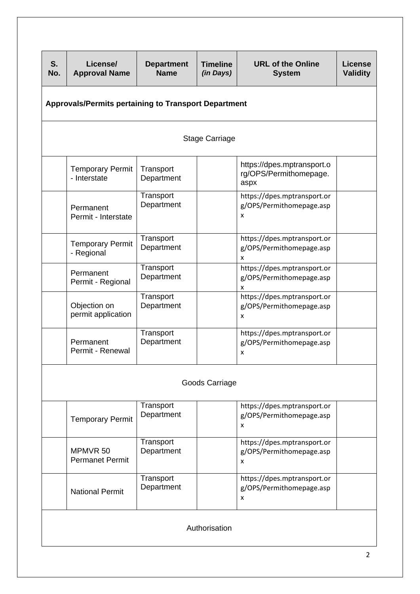| S.<br>No.                                                   | License/<br><b>Approval Name</b>        | <b>Department</b><br><b>Name</b> | <b>Timeline</b><br>(in Days) | <b>URL of the Online</b><br><b>System</b>                    | <b>License</b><br><b>Validity</b> |  |  |
|-------------------------------------------------------------|-----------------------------------------|----------------------------------|------------------------------|--------------------------------------------------------------|-----------------------------------|--|--|
| <b>Approvals/Permits pertaining to Transport Department</b> |                                         |                                  |                              |                                                              |                                   |  |  |
|                                                             | <b>Stage Carriage</b>                   |                                  |                              |                                                              |                                   |  |  |
|                                                             | <b>Temporary Permit</b><br>- Interstate | Transport<br>Department          |                              | https://dpes.mptransport.o<br>rg/OPS/Permithomepage.<br>aspx |                                   |  |  |
|                                                             | Permanent<br>Permit - Interstate        | Transport<br>Department          |                              | https://dpes.mptransport.or<br>g/OPS/Permithomepage.asp<br>X |                                   |  |  |
|                                                             | <b>Temporary Permit</b><br>- Regional   | Transport<br>Department          |                              | https://dpes.mptransport.or<br>g/OPS/Permithomepage.asp<br>x |                                   |  |  |
|                                                             | Permanent<br>Permit - Regional          | Transport<br>Department          |                              | https://dpes.mptransport.or<br>g/OPS/Permithomepage.asp<br>x |                                   |  |  |
|                                                             | Objection on<br>permit application      | Transport<br>Department          |                              | https://dpes.mptransport.or<br>g/OPS/Permithomepage.asp<br>x |                                   |  |  |
|                                                             | Permanent<br>Permit - Renewal           | Transport<br>Department          |                              | https://dpes.mptransport.or<br>g/OPS/Permithomepage.asp<br>x |                                   |  |  |
| Goods Carriage                                              |                                         |                                  |                              |                                                              |                                   |  |  |
|                                                             | <b>Temporary Permit</b>                 | Transport<br>Department          |                              | https://dpes.mptransport.or<br>g/OPS/Permithomepage.asp<br>x |                                   |  |  |
|                                                             | MPMVR 50<br><b>Permanet Permit</b>      | Transport<br>Department          |                              | https://dpes.mptransport.or<br>g/OPS/Permithomepage.asp<br>x |                                   |  |  |
|                                                             | <b>National Permit</b>                  | Transport<br>Department          |                              | https://dpes.mptransport.or<br>g/OPS/Permithomepage.asp<br>x |                                   |  |  |
| Authorisation                                               |                                         |                                  |                              |                                                              |                                   |  |  |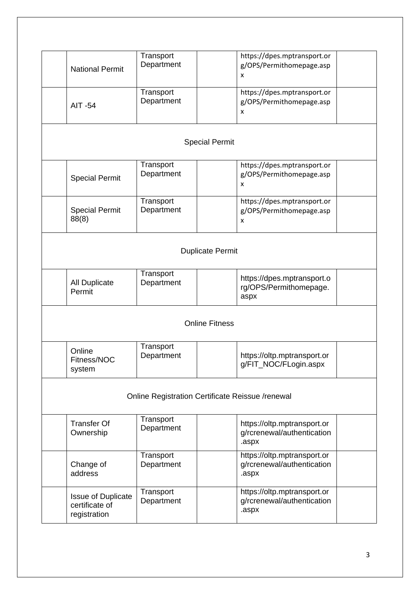| <b>National Permit</b>                                      | Transport<br>Department |  | https://dpes.mptransport.or<br>g/OPS/Permithomepage.asp<br>x       |  |  |  |
|-------------------------------------------------------------|-------------------------|--|--------------------------------------------------------------------|--|--|--|
| <b>AIT -54</b>                                              | Transport<br>Department |  | https://dpes.mptransport.or<br>g/OPS/Permithomepage.asp<br>x       |  |  |  |
| <b>Special Permit</b>                                       |                         |  |                                                                    |  |  |  |
| <b>Special Permit</b>                                       | Transport<br>Department |  | https://dpes.mptransport.or<br>g/OPS/Permithomepage.asp<br>x       |  |  |  |
| <b>Special Permit</b><br>88(8)                              | Transport<br>Department |  | https://dpes.mptransport.or<br>g/OPS/Permithomepage.asp<br>x       |  |  |  |
| <b>Duplicate Permit</b>                                     |                         |  |                                                                    |  |  |  |
| <b>All Duplicate</b><br>Permit                              | Transport<br>Department |  | https://dpes.mptransport.o<br>rg/OPS/Permithomepage.<br>aspx       |  |  |  |
| <b>Online Fitness</b>                                       |                         |  |                                                                    |  |  |  |
| Online<br>Fitness/NOC<br>system                             | Transport<br>Department |  | https://oltp.mptransport.or<br>g/FIT_NOC/FLogin.aspx               |  |  |  |
| Online Registration Certificate Reissue /renewal            |                         |  |                                                                    |  |  |  |
| <b>Transfer Of</b><br>Ownership                             | Transport<br>Department |  | https://oltp.mptransport.or<br>g/rcrenewal/authentication<br>.aspx |  |  |  |
| Change of<br>address                                        | Transport<br>Department |  | https://oltp.mptransport.or<br>g/rcrenewal/authentication<br>.aspx |  |  |  |
| <b>Issue of Duplicate</b><br>certificate of<br>registration | Transport<br>Department |  | https://oltp.mptransport.or<br>g/rcrenewal/authentication<br>.aspx |  |  |  |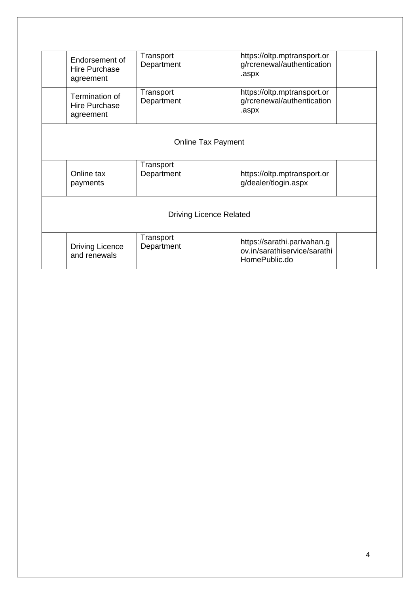|                                | Endorsement of<br>Hire Purchase<br>agreement        | Transport<br>Department |  | https://oltp.mptransport.or<br>g/rcrenewal/authentication<br>.aspx           |  |
|--------------------------------|-----------------------------------------------------|-------------------------|--|------------------------------------------------------------------------------|--|
|                                | Termination of<br><b>Hire Purchase</b><br>agreement | Transport<br>Department |  | https://oltp.mptransport.or<br>g/rcrenewal/authentication<br>.aspx           |  |
| <b>Online Tax Payment</b>      |                                                     |                         |  |                                                                              |  |
|                                | Online tax<br>payments                              | Transport<br>Department |  | https://oltp.mptransport.or<br>g/dealer/tlogin.aspx                          |  |
| <b>Driving Licence Related</b> |                                                     |                         |  |                                                                              |  |
|                                | <b>Driving Licence</b><br>and renewals              | Transport<br>Department |  | https://sarathi.parivahan.g<br>ov.in/sarathiservice/sarathi<br>HomePublic.do |  |